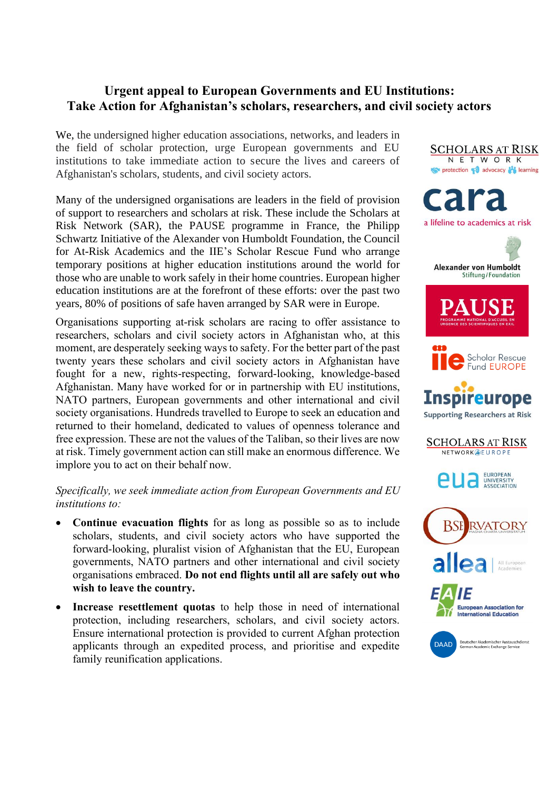## **Urgent appeal to European Governments and EU Institutions: Take Action for Afghanistan's scholars, researchers, and civil society actors**

We, the undersigned higher education associations, networks, and leaders in the field of scholar protection, urge European governments and EU institutions to take immediate action to secure the lives and careers of Afghanistan's scholars, students, and civil society actors.

Many of the undersigned organisations are leaders in the field of provision of support to researchers and scholars at risk. These include the Scholars at Risk Network (SAR), the PAUSE programme in France, the Philipp Schwartz Initiative of the Alexander von Humboldt Foundation, the Council for At-Risk Academics and the IIE's Scholar Rescue Fund who arrange temporary positions at higher education institutions around the world for those who are unable to work safely in their home countries. European higher education institutions are at the forefront of these efforts: over the past two years, 80% of positions of safe haven arranged by SAR were in Europe.

Organisations supporting at-risk scholars are racing to offer assistance to researchers, scholars and civil society actors in Afghanistan who, at this moment, are desperately seeking ways to safety. For the better part of the past twenty years these scholars and civil society actors in Afghanistan have fought for a new, rights-respecting, forward-looking, knowledge-based Afghanistan. Many have worked for or in partnership with EU institutions, NATO partners, European governments and other international and civil society organisations. Hundreds travelled to Europe to seek an education and returned to their homeland, dedicated to values of openness tolerance and free expression. These are not the values of the Taliban, so their lives are now at risk. Timely government action can still make an enormous difference. We implore you to act on their behalf now.

*Specifically, we seek immediate action from European Governments and EU institutions to:*

- **Continue evacuation flights** for as long as possible so as to include scholars, students, and civil society actors who have supported the forward-looking, pluralist vision of Afghanistan that the EU, European governments, NATO partners and other international and civil society organisations embraced. **Do not end flights until all are safely out who wish to leave the country.**
- **Increase resettlement quotas** to help those in need of international protection, including researchers, scholars, and civil society actors. Ensure international protection is provided to current Afghan protection applicants through an expedited process, and prioritise and expedite family reunification applications.

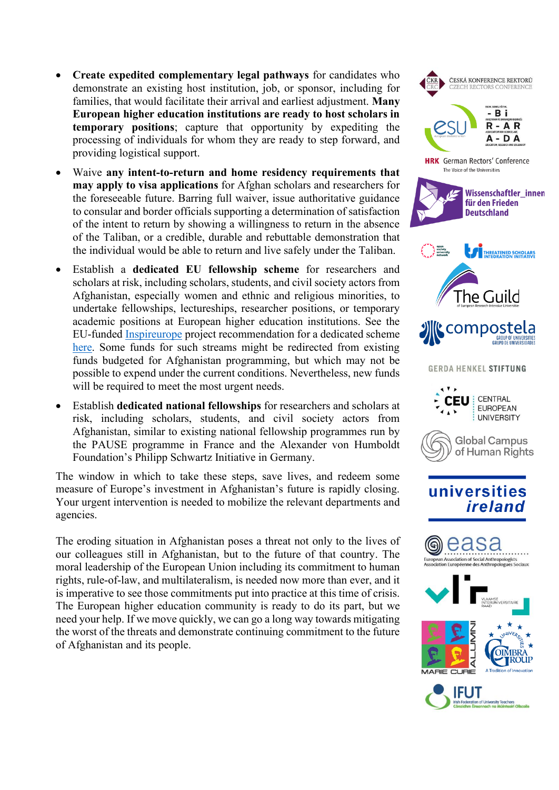- **Create expedited complementary legal pathways** for candidates who demonstrate an existing host institution, job, or sponsor, including for families, that would facilitate their arrival and earliest adjustment. **Many European higher education institutions are ready to host scholars in temporary positions**; capture that opportunity by expediting the processing of individuals for whom they are ready to step forward, and providing logistical support.
- Waive **any intent-to-return and home residency requirements that may apply to visa applications** for Afghan scholars and researchers for the foreseeable future. Barring full waiver, issue authoritative guidance to consular and border officials supporting a determination of satisfaction of the intent to return by showing a willingness to return in the absence of the Taliban, or a credible, durable and rebuttable demonstration that the individual would be able to return and live safely under the Taliban.
- Establish a **dedicated EU fellowship scheme** for researchers and scholars at risk, including scholars, students, and civil society actors from Afghanistan, especially women and ethnic and religious minorities, to undertake fellowships, lectureships, researcher positions, or temporary academic positions at European higher education institutions. See the EU-funded [Inspireurope](https://www.maynoothuniversity.ie/sar-europe/inspireurope) project recommendation for a dedicated scheme [here.](https://www.maynoothuniversity.ie/sites/default/files/filefield_paths/DRAFT%20Inspireurope%20Recommendation%20for%20EU%20fellowships%20for%20researchers%20at%20risk.pdf) Some funds for such streams might be redirected from existing funds budgeted for Afghanistan programming, but which may not be possible to expend under the current conditions. Nevertheless, new funds will be required to meet the most urgent needs.
- Establish **dedicated national fellowships** for researchers and scholars at risk, including scholars, students, and civil society actors from Afghanistan, similar to existing national fellowship programmes run by the PAUSE programme in France and the Alexander von Humboldt Foundation's Philipp Schwartz Initiative in Germany.

The window in which to take these steps, save lives, and redeem some measure of Europe's investment in Afghanistan's future is rapidly closing. Your urgent intervention is needed to mobilize the relevant departments and agencies.

The eroding situation in Afghanistan poses a threat not only to the lives of our colleagues still in Afghanistan, but to the future of that country. The moral leadership of the European Union including its commitment to human rights, rule-of-law, and multilateralism, is needed now more than ever, and it is imperative to see those commitments put into practice at this time of crisis. The European higher education community is ready to do its part, but we need your help. If we move quickly, we can go a long way towards mitigating the worst of the threats and demonstrate continuing commitment to the future of Afghanistan and its people.